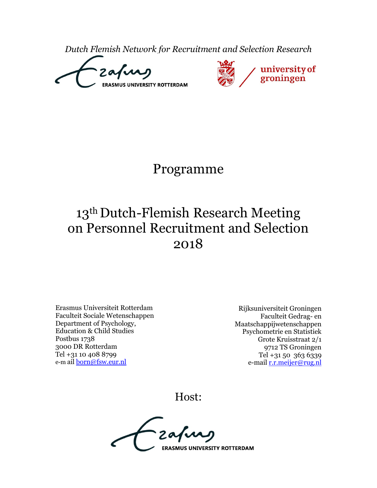*Dutch Flemish Network for Recruitment and Selection Research*





## Programme

# 13<sup>th</sup> Dutch-Flemish Research Meeting on Personnel Recruitment and Selection 2018

Erasmus Universiteit Rotterdam Faculteit Sociale Wetenschappen Department of Psychology, Education & Child Studies Postbus 1738 3000 DR Rotterdam Tel +31 10 408 8799 e-m ail [born@fsw.eur.nl](mailto:born@fsw.eur.nl)

Rijksuniversiteit Groningen Faculteit Gedrag- en Maatschappijwetenschappen Psychometrie en Statistiek Grote Kruisstraat 2/1 9712 TS Groningen Tel +31 50 363 6339 e-mail [r.r.meijer@rug.nl](mailto:r.r.meijer@rug.nl)

Host:

**ERASMUS UNIVERSITY ROTTERDAM**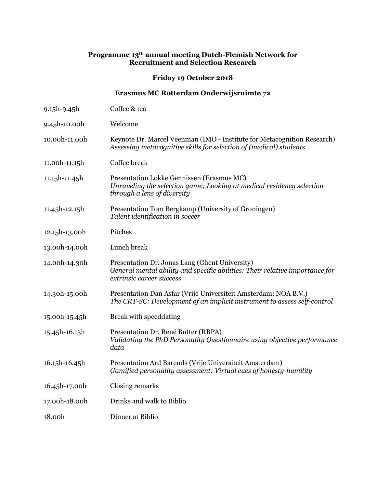#### **Programme 13th annual meeting Dutch-Flemish Network for Recruitment and Selection Research**

**Friday 19 October 2018** 

#### **Erasmus MC Rotterdam Onderwijsruimte 72**

9.15h-9.45h Coffee & tea 9.45h-10.00h Welcome 10.00h-11.00h Keynote Dr. Marcel Veenman (IMO - Institute for Metacognition Research) *Assessing metacognitive skills for selection of (medical) students.* 11.00h-11.15h Coffee break 11.15h-11.45h Presentation Lokke Gennissen (Erasmus MC) *Unraveling the selection game; Looking at medical residency selection through a lens of diversity*  11.45h-12.15h Presentation Tom Bergkamp (University of Groningen) *Talent identification in soccer* 12.15h-13.00h Pitches 13.00h-14.00h Lunch break 14.00h-14.30h Presentation Dr. Jonas Lang (Ghent University) *General mental ability and specific abilities: Their relative importance for extrinsic career success* 14.30h-15.00h Presentation Dan Asfar (Vrije Universiteit Amsterdam; NOA B.V.) *The CRT-SC: Development of an implicit instrument to assess self-control* 15.00h-15.45h Break with speeddating 15.45h-16.15h Presentation Dr. René Butter (RBPA) *Validating the PhD Personality Questionnaire using objective performance data* 16.15h-16.45h Presentation Ard Barends (Vrije Universiteit Amsterdam) *Gamified personality assessment: Virtual cues of honesty-humility* 16.45h-17.00h Closing remarks 17.00h-18.00h Drinks and walk to Biblio 18.00h Dinner at Biblio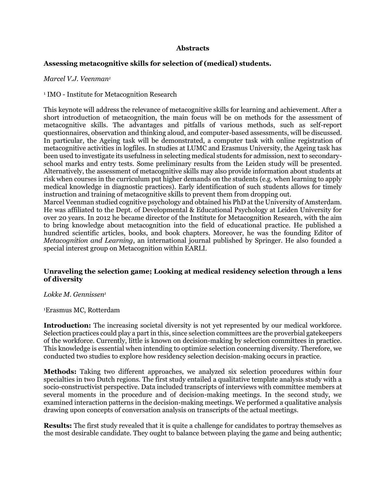#### **Abstracts**

#### **Assessing metacognitive skills for selection of (medical) students.**

#### *Marcel V.J. Veenman<sup>1</sup>*

<sup>1</sup> IMO - Institute for Metacognition Research

This keynote will address the relevance of metacognitive skills for learning and achievement. After a short introduction of metacognition, the main focus will be on methods for the assessment of metacognitive skills. The advantages and pitfalls of various methods, such as self-report questionnaires, observation and thinking aloud, and computer-based assessments, will be discussed. In particular, the Ageing task will be demonstrated, a computer task with online registration of metacognitive activities in logfiles. In studies at LUMC and Erasmus University, the Ageing task has been used to investigate its usefulness in selecting medical students for admission, next to secondaryschool marks and entry tests. Some preliminary results from the Leiden study will be presented. Alternatively, the assessment of metacognitive skills may also provide information about students at risk when courses in the curriculum put higher demands on the students (e.g. when learning to apply medical knowledge in diagnostic practices). Early identification of such students allows for timely instruction and training of metacognitive skills to prevent them from dropping out. Marcel Veenman studied cognitive psychology and obtained his PhD at the University of Amsterdam.

He was affiliated to the Dept. of Developmental & Educational Psychology at Leiden University for over 20 years. In 2012 he became director of the Institute for Metacognition Research, with the aim to bring knowledge about metacognition into the field of educational practice. He published a hundred scientific articles, books, and book chapters. Moreover, he was the founding Editor of *Metacognition and Learning*, an international journal published by Springer. He also founded a special interest group on Metacognition within EARLI.

#### **Unraveling the selection game; Looking at medical residency selection through a lens of diversity**

*Lokke M. Gennissen<sup>1</sup>*

<sup>1</sup>Erasmus MC, Rotterdam

**Introduction:** The increasing societal diversity is not yet represented by our medical workforce. Selection practices could play a part in this, since selection committees are the proverbial gatekeepers of the workforce. Currently, little is known on decision-making by selection committees in practice. This knowledge is essential when intending to optimize selection concerning diversity. Therefore, we conducted two studies to explore how residency selection decision-making occurs in practice.

**Methods:** Taking two different approaches, we analyzed six selection procedures within four specialties in two Dutch regions. The first study entailed a qualitative template analysis study with a socio-constructivist perspective. Data included transcripts of interviews with committee members at several moments in the procedure and of decision-making meetings. In the second study, we examined interaction patterns in the decision-making meetings. We performed a qualitative analysis drawing upon concepts of conversation analysis on transcripts of the actual meetings.

**Results:** The first study revealed that it is quite a challenge for candidates to portray themselves as the most desirable candidate. They ought to balance between playing the game and being authentic;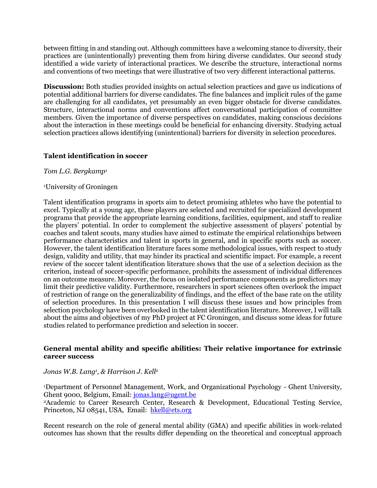between fitting in and standing out. Although committees have a welcoming stance to diversity, their practices are (unintentionally) preventing them from hiring diverse candidates. Our second study identified a wide variety of interactional practices. We describe the structure, interactional norms and conventions of two meetings that were illustrative of two very different interactional patterns.

**Discussion:** Both studies provided insights on actual selection practices and gave us indications of potential additional barriers for diverse candidates. The fine balances and implicit rules of the game are challenging for all candidates, yet presumably an even bigger obstacle for diverse candidates. Structure, interactional norms and conventions affect conversational participation of committee members. Given the importance of diverse perspectives on candidates, making conscious decisions about the interaction in these meetings could be beneficial for enhancing diversity. Studying actual selection practices allows identifying (unintentional) barriers for diversity in selection procedures.

#### **Talent identification in soccer**

*Tom L.G. Bergkamp<sup>1</sup>*

#### <sup>1</sup>University of Groningen

Talent identification programs in sports aim to detect promising athletes who have the potential to excel. Typically at a young age, these players are selected and recruited for specialized development programs that provide the appropriate learning conditions, facilities, equipment, and staff to realize the players' potential. In order to complement the subjective assessment of players' potential by coaches and talent scouts, many studies have aimed to estimate the empirical relationships between performance characteristics and talent in sports in general, and in specific sports such as soccer. However, the talent identification literature faces some methodological issues, with respect to study design, validity and utility, that may hinder its practical and scientific impact. For example, a recent review of the soccer talent identification literature shows that the use of a selection decision as the criterion, instead of soccer-specific performance, prohibits the assessment of individual differences on an outcome measure. Moreover, the focus on isolated performance components as predictors may limit their predictive validity. Furthermore, researchers in sport sciences often overlook the impact of restriction of range on the generalizability of findings, and the effect of the base rate on the utility of selection procedures. In this presentation I will discuss these issues and how principles from selection psychology have been overlooked in the talent identification literature. Moreover, I will talk about the aims and objectives of my PhD project at FC Groningen, and discuss some ideas for future studies related to performance prediction and selection in soccer.

#### **General mental ability and specific abilities: Their relative importance for extrinsic career success**

#### *Jonas W.B. Lang<sup>1</sup> , & Harrison J. Kell<sup>2</sup>*

<sup>1</sup>Department of Personnel Management, Work, and Organizational Psychology - Ghent University, Ghent 9000, Belgium, Email[: jonas.lang@ugent.be](mailto:jonas.lang@ugent.be) <sup>2</sup>Academic to Career Research Center, Research & Development, Educational Testing Service,

Princeton, NJ 08541, USA, Email: [hkell@ets.org](mailto:hkell@ets.org)

Recent research on the role of general mental ability (GMA) and specific abilities in work-related outcomes has shown that the results differ depending on the theoretical and conceptual approach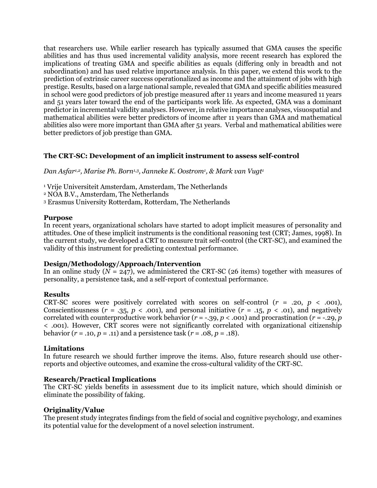that researchers use. While earlier research has typically assumed that GMA causes the specific abilities and has thus used incremental validity analysis, more recent research has explored the implications of treating GMA and specific abilities as equals (differing only in breadth and not subordination) and has used relative importance analysis. In this paper, we extend this work to the prediction of extrinsic career success operationalized as income and the attainment of jobs with high prestige. Results, based on a large national sample, revealed that GMA and specific abilities measured in school were good predictors of job prestige measured after 11 years and income measured 11 years and 51 years later toward the end of the participants work life. As expected, GMA was a dominant predictor in incremental validity analyses. However, in relative importance analyses, visuospatial and mathematical abilities were better predictors of income after 11 years than GMA and mathematical abilities also were more important than GMA after 51 years. Verbal and mathematical abilities were better predictors of job prestige than GMA.

## **The CRT-SC: Development of an implicit instrument to assess self-control**

*Dan Asfar1,2, Marise Ph. Born1,3, Janneke K. Oostrom<sup>1</sup> , & Mark van Vugt<sup>1</sup>*

<sup>1</sup> Vrije Universiteit Amsterdam, Amsterdam, The Netherlands

<sup>2</sup> NOA B.V., Amsterdam, The Netherlands

<sup>3</sup> Erasmus University Rotterdam, Rotterdam, The Netherlands

#### **Purpose**

In recent years, organizational scholars have started to adopt implicit measures of personality and attitudes. One of these implicit instruments is the conditional reasoning test (CRT; James, 1998). In the current study, we developed a CRT to measure trait self-control (the CRT-SC), and examined the validity of this instrument for predicting contextual performance.

#### **Design/Methodology/Approach/Intervention**

In an online study  $(N = 247)$ , we administered the CRT-SC (26 items) together with measures of personality, a persistence task, and a self-report of contextual performance.

## **Results**

CRT-SC scores were positively correlated with scores on self-control  $(r = .20, p < .001)$ , Conscientiousness  $(r = .35, p < .001)$ , and personal initiative  $(r = .15, p < .01)$ , and negatively correlated with counterproductive work behavior (*r* = -.39, *p* < .001) and procrastination (*r* = -.29, *p* < .001). However, CRT scores were not significantly correlated with organizational citizenship behavior  $(r = .10, p = .11)$  and a persistence task  $(r = .08, p = .18)$ .

#### **Limitations**

In future research we should further improve the items. Also, future research should use otherreports and objective outcomes, and examine the cross-cultural validity of the CRT-SC.

## **Research/Practical Implications**

The CRT-SC yields benefits in assessment due to its implicit nature, which should diminish or eliminate the possibility of faking.

#### **Originality/Value**

The present study integrates findings from the field of social and cognitive psychology, and examines its potential value for the development of a novel selection instrument.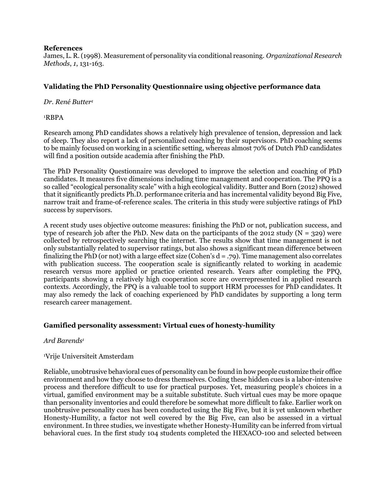#### **References**

James, L. R. (1998). Measurement of personality via conditional reasoning. *Organizational Research Methods*, *1*, 131-163.

## **Validating the PhD Personality Questionnaire using objective performance data**

*Dr. René Butter<sup>1</sup>*

<sup>1</sup>RBPA

Research among PhD candidates shows a relatively high prevalence of tension, depression and lack of sleep. They also report a lack of personalized coaching by their supervisors. PhD coaching seems to be mainly focused on working in a scientific setting, whereas almost 70% of Dutch PhD candidates will find a position outside academia after finishing the PhD.

The PhD Personality Questionnaire was developed to improve the selection and coaching of PhD candidates. It measures five dimensions including time management and cooperation. The PPQ is a so called "ecological personality scale" with a high ecological validity. Butter and Born (2012) showed that it significantly predicts Ph.D. performance criteria and has incremental validity beyond Big Five, narrow trait and frame-of-reference scales. The criteria in this study were subjective ratings of PhD success by supervisors.

A recent study uses objective outcome measures: finishing the PhD or not, publication success, and type of research job after the PhD. New data on the participants of the 2012 study ( $N = 329$ ) were collected by retrospectively searching the internet. The results show that time management is not only substantially related to supervisor ratings, but also shows a significant mean difference between finalizing the PhD (or not) with a large effect size (Cohen's  $d = .79$ ). Time management also correlates with publication success. The cooperation scale is significantly related to working in academic research versus more applied or practice oriented research. Years after completing the PPQ, participants showing a relatively high cooperation score are overrepresented in applied research contexts. Accordingly, the PPQ is a valuable tool to support HRM processes for PhD candidates. It may also remedy the lack of coaching experienced by PhD candidates by supporting a long term research career management.

## **Gamified personality assessment: Virtual cues of honesty-humility**

## *Ard Barends<sup>1</sup>*

## <sup>1</sup>Vrije Universiteit Amsterdam

Reliable, unobtrusive behavioral cues of personality can be found in how people customize their office environment and how they choose to dress themselves. Coding these hidden cues is a labor-intensive process and therefore difficult to use for practical purposes. Yet, measuring people's choices in a virtual, gamified environment may be a suitable substitute. Such virtual cues may be more opaque than personality inventories and could therefore be somewhat more difficult to fake. Earlier work on unobtrusive personality cues has been conducted using the Big Five, but it is yet unknown whether Honesty-Humility, a factor not well covered by the Big Five, can also be assessed in a virtual environment. In three studies, we investigate whether Honesty-Humility can be inferred from virtual behavioral cues. In the first study 104 students completed the HEXACO-100 and selected between